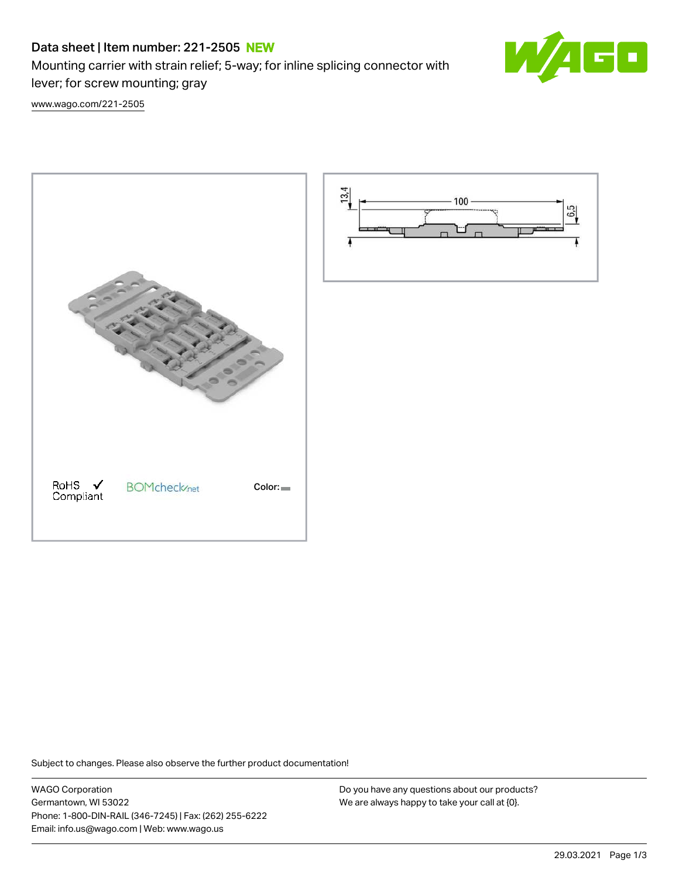# Data sheet | Item number: 221-2505 NEW

Mounting carrier with strain relief; 5-way; for inline splicing connector with



[www.wago.com/221-2505](http://www.wago.com/221-2505)

lever; for screw mounting; gray





Subject to changes. Please also observe the further product documentation!

WAGO Corporation Germantown, WI 53022 Phone: 1-800-DIN-RAIL (346-7245) | Fax: (262) 255-6222 Email: info.us@wago.com | Web: www.wago.us

Do you have any questions about our products? We are always happy to take your call at {0}.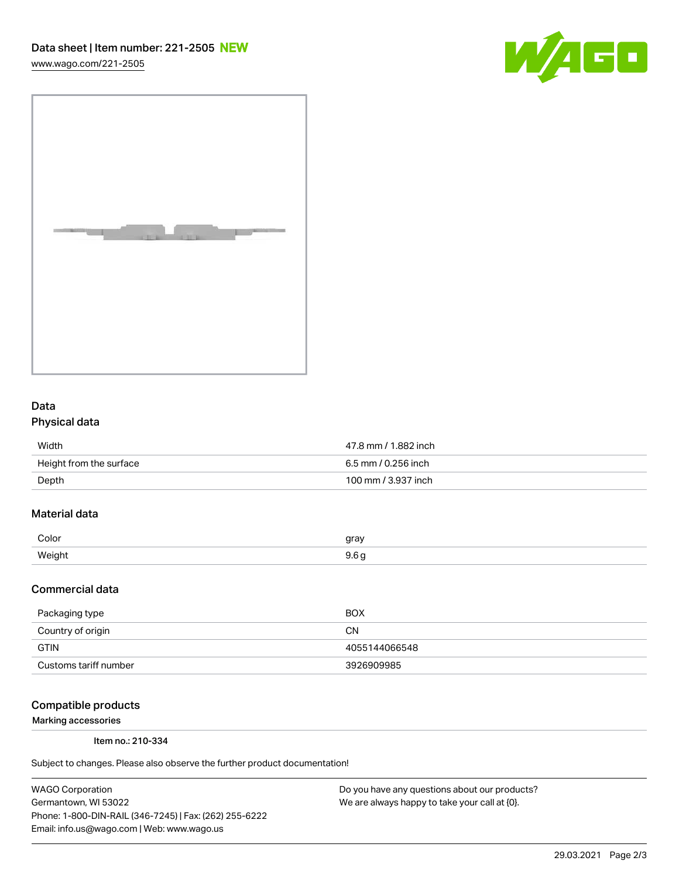[www.wago.com/221-2505](http://www.wago.com/221-2505)





## Data Physical data

| Width                   | 47.8 mm / 1.882 inch |
|-------------------------|----------------------|
| Height from the surface | 6.5 mm / 0.256 inch  |
| Depth                   | 100 mm / 3.937 inch  |

## Material data

| Color        | arov |
|--------------|------|
| <i>Mainh</i> |      |

#### Commercial data

| Packaging type        | <b>BOX</b>    |
|-----------------------|---------------|
| Country of origin     | CΝ            |
| <b>GTIN</b>           | 4055144066548 |
| Customs tariff number | 3926909985    |

#### Compatible products

Marking accessories

Item no.: 210-334

Subject to changes. Please also observe the further product documentation!

WAGO Corporation Germantown, WI 53022 Phone: 1-800-DIN-RAIL (346-7245) | Fax: (262) 255-6222 Email: info.us@wago.com | Web: www.wago.us

Do you have any questions about our products? We are always happy to take your call at {0}.